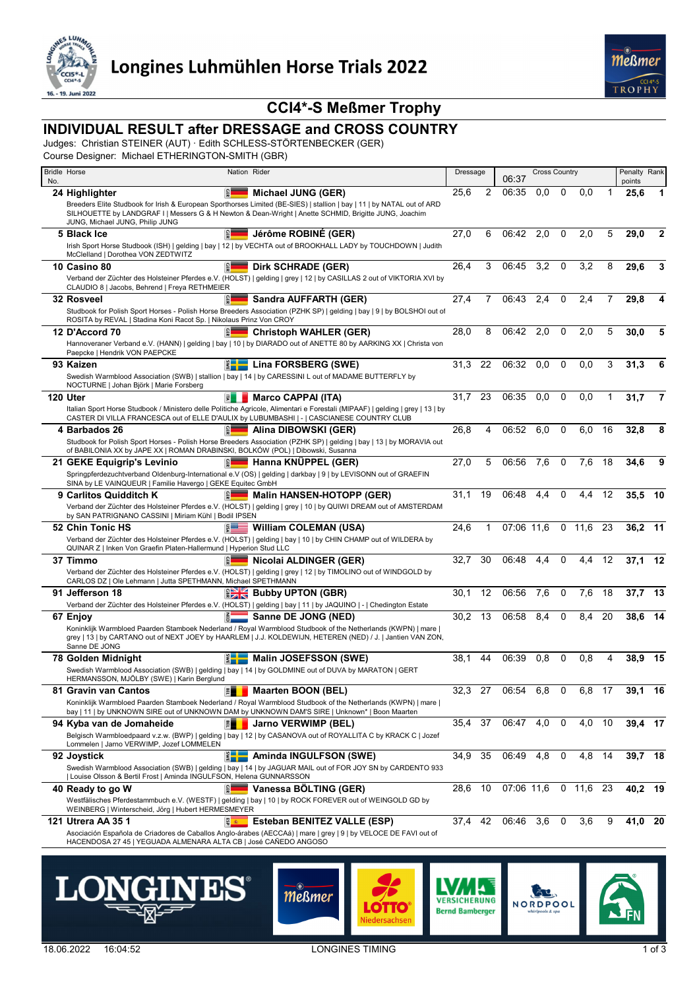



# **CCI4\*-S Meßmer Trophy**

# **INDIVIDUAL RESULT after DRESSAGE and CROSS COUNTRY**

Judges: Christian STEINER (AUT) · Edith SCHLESS-STÖRTENBECKER (GER)

Course Designer: Michael ETHERINGTON-SMITH (GBR)

|     | <b>Bridle Horse</b><br>Nation Rider                                                                                                                                                                                                          | Dressage |    | <b>Cross Country</b><br>06:37 |     |             |          | Penalty Rank |                |    |
|-----|----------------------------------------------------------------------------------------------------------------------------------------------------------------------------------------------------------------------------------------------|----------|----|-------------------------------|-----|-------------|----------|--------------|----------------|----|
| No. | 읿<br>24 Highlighter<br>Michael JUNG (GER)                                                                                                                                                                                                    | 25,6     | 2  | 06:35                         | 0,0 | 0           | 0.0      |              | points<br>25,6 | 1  |
|     | Breeders Elite Studbook for Irish & European Sporthorses Limited (BE-SIES)   stallion   bay   11   by NATAL out of ARD<br>SILHOUETTE by LANDGRAF I   Messers G & H Newton & Dean-Wright   Anette SCHMID, Brigitte JUNG, Joachim              |          |    |                               |     |             |          |              |                |    |
|     | JUNG, Michael JUNG, Philip JUNG<br>Jérôme ROBINÉ (GER)<br>5 Black Ice                                                                                                                                                                        | 27,0     | 6  | 06:42                         | 2,0 | $\mathbf 0$ | 2,0      | 5            | 29,0           | 2  |
|     | Irish Sport Horse Studbook (ISH)   gelding   bay   12   by VECHTA out of BROOKHALL LADY by TOUCHDOWN   Judith<br>McClelland   Dorothea VON ZEDTWITZ                                                                                          |          |    |                               |     |             |          |              |                |    |
|     | 읿<br><b>Dirk SCHRADE (GER)</b><br>10 Casino 80                                                                                                                                                                                               | 26,4     | 3  | 06:45                         | 3,2 | 0           | 3,2      | 8            | 29,6           | 3  |
|     | Verband der Züchter des Holsteiner Pferdes e.V. (HOLST)   gelding   grey   12   by CASILLAS 2 out of VIKTORIA XVI by<br>CLAUDIO 8   Jacobs, Behrend   Freya RETHMEIER                                                                        |          |    |                               |     |             |          |              |                |    |
|     | 32 Rosveel<br>Sandra AUFFARTH (GER)                                                                                                                                                                                                          | 27,4     | 7  | 06:43                         | 2,4 | $\mathbf 0$ | 2.4      |              | 29,8           | 4  |
|     | Studbook for Polish Sport Horses - Polish Horse Breeders Association (PZHK SP)   gelding   bay   9   by BOLSHOI out of<br>ROSITA by REVAL   Stadina Koni Racot Sp.   Nikolaus Prinz Von CROY                                                 |          |    |                               |     |             |          |              |                |    |
|     | <b>Christoph WAHLER (GER)</b><br>12 D'Accord 70                                                                                                                                                                                              | 28,0     | 8  | 06:42                         | 2,0 | 0           | 2,0      | 5            | 30,0           | 5  |
|     | Hannoveraner Verband e.V. (HANN)   gelding   bay   10   by DIARADO out of ANETTE 80 by AARKING XX   Christa von<br>Paepcke   Hendrik VON PAEPCKE                                                                                             |          |    |                               |     |             |          |              |                |    |
|     | Lina FORSBERG (SWE)<br>93 Kaizen                                                                                                                                                                                                             | 31,3     | 22 | 06:32                         | 0.0 | $\mathbf 0$ | 0.0      | 3            | 31,3           | 6  |
|     | Swedish Warmblood Association (SWB)   stallion   bay   14   by CARESSINI L out of MADAME BUTTERFLY by<br>NOCTURNE   Johan Björk   Marie Forsberg                                                                                             |          |    |                               |     |             |          |              |                |    |
|     | 120 Uter<br><b>Marco CAPPAI (ITA)</b><br>凬                                                                                                                                                                                                   | 31.7     | 23 | 06:35                         | 0.0 | $\mathbf 0$ | 0.0      |              | 31.7           | 7  |
|     | Italian Sport Horse Studbook / Ministero delle Politiche Agricole, Alimentari e Forestali (MIPAAF)   gelding   grey   13   by<br>CASTER DI VILLA FRANCESCA out of ELLE D'AULIX by LUBUMBASHI   -   CASCIANESE COUNTRY CLUB                   |          |    |                               |     |             |          |              |                |    |
|     | 4 Barbados 26<br>Alina DIBOWSKI (GER)                                                                                                                                                                                                        | 26,8     | 4  | 06:52                         | 6,0 | 0           | 6,0      | 16           | 32,8           | 8  |
|     | Studbook for Polish Sport Horses - Polish Horse Breeders Association (PZHK SP)   gelding   bay   13   by MORAVIA out<br>of BABILONIA XX by JAPE XX   ROMAN DRABINSKI, BOLKÓW (POL)   Dibowski, Susanna                                       |          |    |                               |     |             |          |              |                |    |
|     | le l<br>Hanna KNÜPPEL (GER)<br>21 GEKE Equigrip's Levinio                                                                                                                                                                                    | 27,0     | 5  | 06:56                         | 7,6 | 0           | 7,6      | 18           | 34,6           | 9  |
|     | Springpferdezuchtverband Oldenburg-International e.V (OS)   gelding   darkbay   9   by LEVISONN out of GRAEFIN<br>SINA by LE VAINQUEUR   Familie Havergo   GEKE Equitec GmbH                                                                 |          |    |                               |     |             |          |              |                |    |
|     | 9 Carlitos Quidditch K<br> 유<br><b>Malin HANSEN-HOTOPP (GER)</b>                                                                                                                                                                             | 31,1     | 19 | 06:48                         | 4,4 | $\mathbf 0$ | 4.4      | 12           | 35,5           | 10 |
|     | Verband der Züchter des Holsteiner Pferdes e.V. (HOLST)   gelding   grey   10   by QUIWI DREAM out of AMSTERDAM<br>by SAN PATRIGNANO CASSINI   Miriam Kühl   Bodil IPSEN                                                                     |          |    |                               |     |             |          |              |                |    |
|     | 52 Chin Tonic HS<br><b>William COLEMAN (USA)</b>                                                                                                                                                                                             | 24,6     | 1  | 07:06 11.6                    |     |             | 0, 11, 6 | 23           | 36,2 11        |    |
|     | Verband der Züchter des Holsteiner Pferdes e.V. (HOLST)   gelding   bay   10   by CHIN CHAMP out of WILDERA by<br>QUINAR Z   Inken Von Graefin Platen-Hallermund   Hyperion Stud LLC                                                         |          |    |                               |     |             |          |              |                |    |
|     | 37 Timmo<br>Nicolai ALDINGER (GER)                                                                                                                                                                                                           | 32.7     | 30 | 06:48                         | 4.4 | 0           | 4.4      | 12           | 37,1           | 12 |
|     | Verband der Züchter des Holsteiner Pferdes e.V. (HOLST)   gelding   grey   12   by TIMOLINO out of WINDGOLD by                                                                                                                               |          |    |                               |     |             |          |              |                |    |
|     | CARLOS DZ   Ole Lehmann   Jutta SPETHMANN, Michael SPETHMANN                                                                                                                                                                                 |          |    |                               |     |             |          |              |                |    |
|     | <b>Bubby UPTON (GBR)</b><br>91 Jefferson 18<br>Verband der Züchter des Holsteiner Pferdes e.V. (HOLST)   gelding   bay   11   by JAQUINO   -   Chedington Estate                                                                             | 30.1     | 12 | 06:56                         | 7,6 | 0           | 7,6      | 18           | 37,7           | 13 |
|     | Sanne DE JONG (NED)<br>67 Enjoy                                                                                                                                                                                                              | 30,2     | 13 | 06:58                         | 8,4 | $\Omega$    | 8.4      | 20           | 38,6           | 14 |
|     | Koninklijk Warmbloed Paarden Stamboek Nederland / Royal Warmblood Studbook of the Netherlands (KWPN)   mare  <br>grey   13   by CARTANO out of NEXT JOEY by HAARLEM   J.J. KOLDEWIJN, HETEREN (NED) / J.   Jantien VAN ZON,<br>Sanne DE JONG |          |    |                               |     |             |          |              |                |    |
|     | <b>EDE</b> Malin JOSEFSSON (SWE)<br>78 Golden Midnight                                                                                                                                                                                       | 38.1     | 44 | 06:39                         | 0,8 | 0           | 0,8      | 4            | 38,9           | 15 |
|     | Swedish Warmblood Association (SWB)   gelding   bay   14   by GOLDMINE out of DUVA by MARATON   GERT<br>HERMANSSON, MJÖLBY (SWE)   Karin Berglund                                                                                            |          |    |                               |     |             |          |              |                |    |
|     | 81 Gravin van Cantos<br>囲<br><b>Maarten BOON (BEL)</b>                                                                                                                                                                                       | 32.3     | 27 | 06:54                         | 6,8 | 0           | 6,8      | 17           | 39,1           | 16 |
|     | Koninklijk Warmbloed Paarden Stamboek Nederland / Royal Warmblood Studbook of the Netherlands (KWPN)   mare  <br>bay   11   by UNKNOWN SIRE out of UNKNOWN DAM by UNKNOWN DAM'S SIRE   Unknown*   Boon Maarten                               |          |    |                               |     |             |          |              |                |    |
|     | <b>Jarno VERWIMP (BEL)</b><br>門<br>94 Kyba van de Jomaheide                                                                                                                                                                                  | 35,4     | 37 | 06:47                         | 4,0 | 0           | 4,0      | 10           | 39,4 17        |    |
|     | Belgisch Warmbloedpaard v.z.w. (BWP)   gelding   bay   12   by CASANOVA out of ROYALLITA C by KRACK C   Jozef<br>Lommelen   Jarno VERWIMP, Jozef LOMMELEN                                                                                    |          |    |                               |     |             |          |              |                |    |
|     | <b>EVALUATE:</b> Aminda INGULFSON (SWE)<br>92 Joystick                                                                                                                                                                                       | 34,9     | 35 | 06:49                         | 4,8 | 0           | 4,8      | 14           | 39,7 18        |    |
|     | Swedish Warmblood Association (SWB)   gelding   bay   14   by JAGUAR MAIL out of FOR JOY SN by CARDENTO 933<br>  Louise Olsson & Bertil Frost   Aminda INGULFSON, Helena GUNNARSSON                                                          |          |    |                               |     |             |          |              |                |    |
|     | Vanessa BÖLTING (GER)<br>40 Ready to go W                                                                                                                                                                                                    | 28,6     | 10 | 07:06 11,6 0 11,6 23          |     |             |          |              | 40,2 19        |    |
|     | Westfälisches Pferdestammbuch e.V. (WESTF)   gelding   bay   10   by ROCK FOREVER out of WEINGOLD GD by<br>WEINBERG   Winterscheid, Jörg   Hubert HERMESMEYER                                                                                |          |    |                               |     |             |          |              |                |    |
|     | 121 Utrera AA 35 1<br>Esteban BENITEZ VALLE (ESP)<br>图 40                                                                                                                                                                                    | 37,4     | 42 | 06:46                         | 3,6 | 0           | 3,6      | 9            | 41,0 20        |    |
|     | Asociación Española de Criadores de Caballos Anglo-árabes (AECCAá)   mare   grey   9   by VELOCE DE FAVI out of<br>HACENDOSA 27 45   YEGUADA ALMENARA ALTA CB   José CAÑEDO ANGOSO                                                           |          |    |                               |     |             |          |              |                |    |









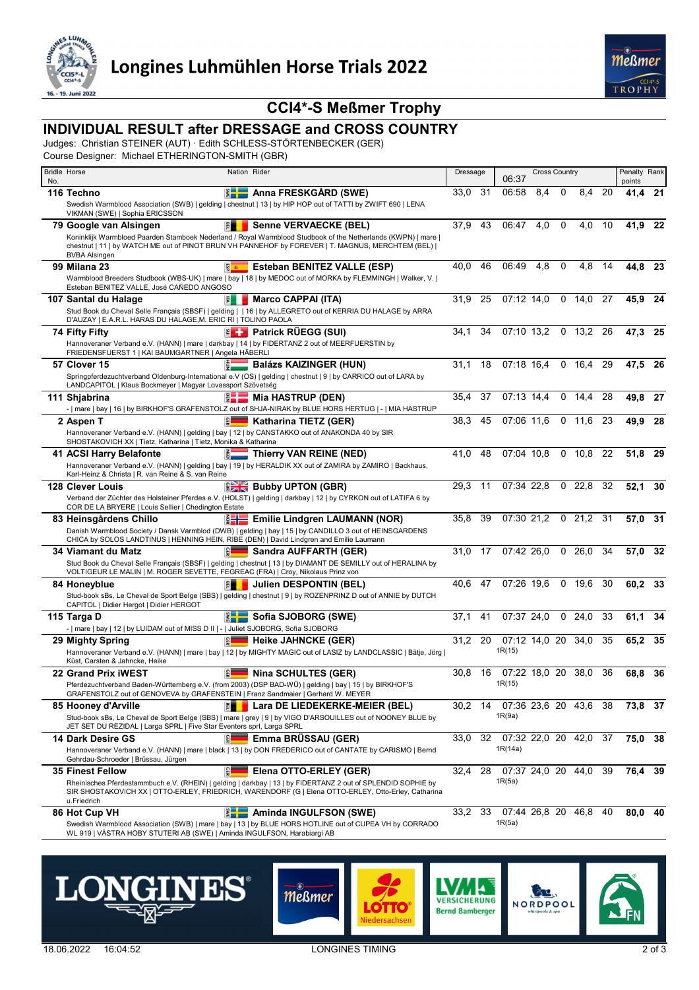



# **CCI4\*-S Meßmer Trophy**

# **INDIVIDUAL RESULT after DRESSAGE and CROSS COUNTRY**

Judges: Christian STEINER (AUT) · Edith SCHLESS-STÖRTENBECKER (GER)

Course Designer: Michael ETHERINGTON-SMITH (GBR)

|     | <b>Bridle Horse</b>                                                                                                                                                                                                                                                                                                                | Nation Rider                                                                                                                                                                                                        | Dressage |     | <b>Cross Country</b><br>06:37 |     |             | Penalty Rank  |    |                |      |
|-----|------------------------------------------------------------------------------------------------------------------------------------------------------------------------------------------------------------------------------------------------------------------------------------------------------------------------------------|---------------------------------------------------------------------------------------------------------------------------------------------------------------------------------------------------------------------|----------|-----|-------------------------------|-----|-------------|---------------|----|----------------|------|
| No. | $\frac{2}{3}$ - $\frac{1}{2}$<br>116 Techno                                                                                                                                                                                                                                                                                        | Anna FRESKGÅRD (SWE)                                                                                                                                                                                                | 33,0     | -31 | 06:58                         | 8,4 | 0           | 8.4           | 20 | points<br>41,4 | -21  |
|     |                                                                                                                                                                                                                                                                                                                                    | Swedish Warmblood Association (SWB)   gelding   chestnut   13   by HIP HOP out of TATTI by ZWIFT 690   LENA                                                                                                         |          |     |                               |     |             |               |    |                |      |
|     | VIKMAN (SWE)   Sophia ERICSSON                                                                                                                                                                                                                                                                                                     |                                                                                                                                                                                                                     |          | 43  |                               |     | 0           | 4.0           | 10 |                |      |
|     | 剛<br>79 Google van Alsingen                                                                                                                                                                                                                                                                                                        | <b>Senne VERVAECKE (BEL)</b><br>Koninklijk Warmbloed Paarden Stamboek Nederland / Royal Warmblood Studbook of the Netherlands (KWPN)   mare                                                                         | 37,9     |     | 06:47                         | 4,0 |             |               |    | 41,9           | -22  |
|     | <b>BVBA Alsingen</b>                                                                                                                                                                                                                                                                                                               | chestnut   11   by WATCH ME out of PINOT BRUN VH PANNEHOF by FOREVER   T. MAGNUS, MERCHTEM (BEL)                                                                                                                    |          |     |                               |     |             |               |    |                |      |
|     | g a<br><b>99 Milana 23</b>                                                                                                                                                                                                                                                                                                         | Esteban BENITEZ VALLE (ESP)                                                                                                                                                                                         | 40.0     | 46  | 06:49                         | 4,8 | $\mathbf 0$ | 4,8           | 14 | 44,8 23        |      |
|     | Esteban BENITEZ VALLE, José CAÑEDO ANGOSO                                                                                                                                                                                                                                                                                          | Warmblood Breeders Studbook (WBS-UK)   mare   bay   18   by MEDOC out of MORKA by FLEMMINGH   Walker, V.                                                                                                            |          |     |                               |     |             |               |    |                |      |
|     | 107 Santal du Halage<br>訓                                                                                                                                                                                                                                                                                                          | <b>Marco CAPPAI (ITA)</b>                                                                                                                                                                                           | 31,9     | 25  | 07:12 14,0                    |     |             | 0, 14, 0      | 27 | 45,9           | -24  |
|     | D'AUZAY   E.A.R.L. HARAS DU HALAGE, M. ERIC RI   TOLINO PAOLA                                                                                                                                                                                                                                                                      | Stud Book du Cheval Selle Français (SBSF)   gelding     16   by ALLEGRETO out of KERRIA DU HALAGE by ARRA                                                                                                           |          |     |                               |     |             |               |    |                |      |
|     | 74 Fifty Fifty                                                                                                                                                                                                                                                                                                                     | <b>EL Patrick RÜEGG (SUI)</b>                                                                                                                                                                                       | 34,1     | 34  | 07:10 13.2                    |     |             | $0$ 13.2      | 26 | 47,3           | - 25 |
|     | Hannoveraner Verband e.V. (HANN)   mare   darkbay   14   by FIDERTANZ 2 out of MEERFUERSTIN by<br>FRIEDENSFUERST 1   KAI BAUMGARTNER   Angela HÄBERLI                                                                                                                                                                              |                                                                                                                                                                                                                     |          |     |                               |     |             |               |    |                |      |
|     | 57 Clover 15                                                                                                                                                                                                                                                                                                                       | <b>Balázs KAIZINGER (HUN)</b>                                                                                                                                                                                       | 31,1     | 18  | 07:18 16.4                    |     |             | 0, 16, 4      | 29 | 47,5           | 26   |
|     | LANDCAPITOL   Klaus Bockmeyer   Magyar Lovassport Szövetség                                                                                                                                                                                                                                                                        | Springpferdezuchtverband Oldenburg-International e.V (OS)   gelding   chestnut   9   by CARRICO out of LARA by                                                                                                      |          |     |                               |     |             |               |    |                |      |
|     | 111 Shjabrina<br>žH                                                                                                                                                                                                                                                                                                                | <b>Mia HASTRUP (DEN)</b>                                                                                                                                                                                            | 35.4     | 37  | 07:13 14.4                    |     | 0           | 14,4          | 28 | 49,8           | -27  |
|     |                                                                                                                                                                                                                                                                                                                                    | -   mare   bay   16   by BIRKHOF'S GRAFENSTOLZ out of SHJA-NIRAK by BLUE HORS HERTUG   -   MIA HASTRUP<br>Katharina TIETZ (GER)                                                                                     | 38,3     | 45  | 07:06 11.6                    |     |             | 0, 11, 6      | 23 |                |      |
|     | 2 Aspen T<br>Hannoveraner Verband e.V. (HANN)   gelding   bay   12   by CANSTAKKO out of ANAKONDA 40 by SIR                                                                                                                                                                                                                        |                                                                                                                                                                                                                     |          |     |                               |     |             |               |    | 49,9           | -28  |
|     | SHOSTAKOVICH XX   Tietz, Katharina   Tietz, Monika & Katharina                                                                                                                                                                                                                                                                     |                                                                                                                                                                                                                     |          |     |                               |     |             |               |    |                |      |
|     | 41 ACSI Harry Belafonte                                                                                                                                                                                                                                                                                                            | $\frac{2}{9}$ Thierry VAN REINE (NED)                                                                                                                                                                               | 41.0     | 48  | 07:04 10.8                    |     | 0           | 10,8          | 22 | 51,8           | - 29 |
|     | Karl-Heinz & Christa   R. van Reine & S. van Reine                                                                                                                                                                                                                                                                                 | Hannoveraner Verband e.V. (HANN)   gelding   bay   19   by HERALDIK XX out of ZAMIRA by ZAMIRO   Backhaus,                                                                                                          |          |     |                               |     |             |               |    |                |      |
|     | <b>128 Clever Louis</b>                                                                                                                                                                                                                                                                                                            | <b>Bubby UPTON (GBR)</b>                                                                                                                                                                                            | 29,3     | 11  | 07:34 22,8                    |     |             | $0\quad 22.8$ | 32 | 52,1           | 30   |
|     | COR DE LA BRYERE   Louis Sellier   Chedington Estate                                                                                                                                                                                                                                                                               | Verband der Züchter des Holsteiner Pferdes e.V. (HOLST)   gelding   darkbay   12   by CYRKON out of LATIFA 6 by                                                                                                     |          |     |                               |     |             |               |    |                |      |
|     | 83 Heinsgårdens Chillo                                                                                                                                                                                                                                                                                                             | Emilie Lindgren LAUMANN (NOR)                                                                                                                                                                                       | 35.8     | 39  | 07:30 21.2                    |     |             | $0$ 21,2      | 31 | 57,0           | 31   |
|     | CHICA by SOLOS LANDTINUS   HENNING HEIN, RIBE (DEN)   David Lindgren and Emilie Laumann                                                                                                                                                                                                                                            | Danish Warmblood Society / Dansk Varmblod (DWB)   gelding   bay   15   by CANDILLO 3 out of HEINSGARDENS                                                                                                            |          |     |                               |     |             |               |    |                |      |
|     | 34 Viamant du Matz<br>ЕI                                                                                                                                                                                                                                                                                                           | Sandra AUFFARTH (GER)                                                                                                                                                                                               | 31,0     | 17  | 07:42 26.0                    |     | $\mathbf 0$ | 26,0          | 34 | 57,0           | 32   |
|     | VOLTIGEUR LE MALIN   M. ROGER SEVETTE, FEGREAC (FRA)   Croy, Nikolaus Prinz von                                                                                                                                                                                                                                                    | Stud Book du Cheval Selle Français (SBSF)   gelding   chestnut   13   by DIAMANT DE SEMILLY out of HERALINA by                                                                                                      |          |     |                               |     |             |               |    |                |      |
|     | 門<br>84 Honeyblue                                                                                                                                                                                                                                                                                                                  | Julien DESPONTIN (BEL)                                                                                                                                                                                              | 40,6     | 47  | 07:26 19.6                    |     |             | $0\quad 19.6$ | 30 | 60,2 33        |      |
|     | CAPITOL   Didier Hergot   Didier HERGOT                                                                                                                                                                                                                                                                                            | Stud-book sBs, Le Cheval de Sport Belge (SBS)   gelding   chestnut   9   by ROZENPRINZ D out of ANNIE by DUTCH                                                                                                      |          |     |                               |     |             |               |    |                |      |
|     | 115 Targa D<br>$\frac{2}{5}$ $\frac{1}{5}$ $\frac{1}{5}$ $\frac{1}{5}$ $\frac{1}{5}$ $\frac{1}{5}$ $\frac{1}{5}$ $\frac{1}{5}$ $\frac{1}{5}$ $\frac{1}{5}$ $\frac{1}{5}$ $\frac{1}{5}$ $\frac{1}{5}$ $\frac{1}{5}$ $\frac{1}{5}$ $\frac{1}{5}$ $\frac{1}{5}$ $\frac{1}{5}$ $\frac{1}{5}$ $\frac{1}{5}$ $\frac{1}{5}$ $\frac{1}{5}$ | Sofia SJOBORG (SWE)                                                                                                                                                                                                 | 37,1     | 41  | 07:37 24,0                    |     | 0           | 24,0          | 33 | 61,1           | 34   |
|     | -   mare   bay   12   by LUIDAM out of MISS D II   -   Juliet SJOBORG, Sofia SJOBORG                                                                                                                                                                                                                                               |                                                                                                                                                                                                                     |          |     |                               |     |             |               |    |                |      |
|     | 29 Mighty Spring                                                                                                                                                                                                                                                                                                                   | <b>Heike JAHNCKE (GER)</b><br>Hannoveraner Verband e.V. (HANN)   mare   bay   12   by MIGHTY MAGIC out of LASIZ by LANDCLASSIC   Bätje, Jörg                                                                        | 31,2     | 20  | 07:12 14.0 20 34.0<br>1R(15)  |     |             |               | 35 | 65,2 35        |      |
|     | Küst, Carsten & Jahncke, Heike                                                                                                                                                                                                                                                                                                     |                                                                                                                                                                                                                     |          |     |                               |     |             |               |    |                |      |
|     | 22 Grand Prix iWEST                                                                                                                                                                                                                                                                                                                | <b>Nina SCHULTES (GER)</b>                                                                                                                                                                                          | 30,8     | 16  | 07:22 18,0 20                 |     |             | 38,0          | 36 | 68,8           | -36  |
|     | Pferdezuchtverband Baden-Württemberg e.V. (from 2003) (DSP BAD-WÜ)   gelding   bay   15   by BIRKHOF'S<br>GRAFENSTOLZ out of GENOVEVA by GRAFENSTEIN   Franz Sandmaier   Gerhard W. MEYER                                                                                                                                          |                                                                                                                                                                                                                     |          |     | 1R(15)                        |     |             |               |    |                |      |
|     | <b>第二十</b><br>85 Hooney d'Arville                                                                                                                                                                                                                                                                                                  | Lara DE LIEDEKERKE-MEIER (BEL)                                                                                                                                                                                      | 30,2     | 14  | 07:36 23,6 20 43,6 38         |     |             |               |    | 73,8 37        |      |
|     | JET SET DU REZIDAL   Larga SPRL   Five Star Eventers sprl, Larga SPRL                                                                                                                                                                                                                                                              | Stud-book sBs, Le Cheval de Sport Belge (SBS)   mare   grey   9   by VIGO D'ARSOUILLES out of NOONEY BLUE by                                                                                                        |          |     | 1R(9a)                        |     |             |               |    |                |      |
|     | 14 Dark Desire GS                                                                                                                                                                                                                                                                                                                  | Emma BRÜSSAU (GER)                                                                                                                                                                                                  | 33,0     | 32  | 07:32 22,0 20 42,0 37         |     |             |               |    | 75,0 38        |      |
|     | Gehrdau-Schroeder   Brüssau, Jürgen                                                                                                                                                                                                                                                                                                | Hannoveraner Verband e.V. (HANN)   mare   black   13   by DON FREDERICO out of CANTATE by CARISMO   Bernd                                                                                                           |          |     | 1R(14a)                       |     |             |               |    |                |      |
|     | $\mathbb{R}$<br><b>35 Finest Fellow</b>                                                                                                                                                                                                                                                                                            | Elena OTTO-ERLEY (GER)                                                                                                                                                                                              | 32,4     | 28  | 07:37 24,0 20 44,0 39         |     |             |               |    | 76,4 39        |      |
|     | u.Friedrich                                                                                                                                                                                                                                                                                                                        | Rheinisches Pferdestammbuch e.V. (RHEIN)   gelding   darkbay   13   by FIDERTANZ 2 out of SPLENDID SOPHIE by<br>SIR SHOSTAKOVICH XX   OTTO-ERLEY, FRIEDRICH, WARENDORF (G   Elena OTTO-ERLEY, Otto-Erley, Catharina |          |     | 1R(5a)                        |     |             |               |    |                |      |
|     | 86 Hot Cup VH                                                                                                                                                                                                                                                                                                                      | <b>ENGINATION (SWE)</b>                                                                                                                                                                                             | 33,2     | 33  | 07:44 26.8 20 46.8            |     |             |               | 40 | $80,0$ 40      |      |
|     | WL 919   VÄSTRA HOBY STUTERI AB (SWE)   Aminda INGULFSON, Harabiargi AB                                                                                                                                                                                                                                                            | Swedish Warmblood Association (SWB)   mare   bay   13   by BLUE HORS HOTLINE out of CUPEA VH by CORRADO                                                                                                             |          |     | 1R(5a)                        |     |             |               |    |                |      |